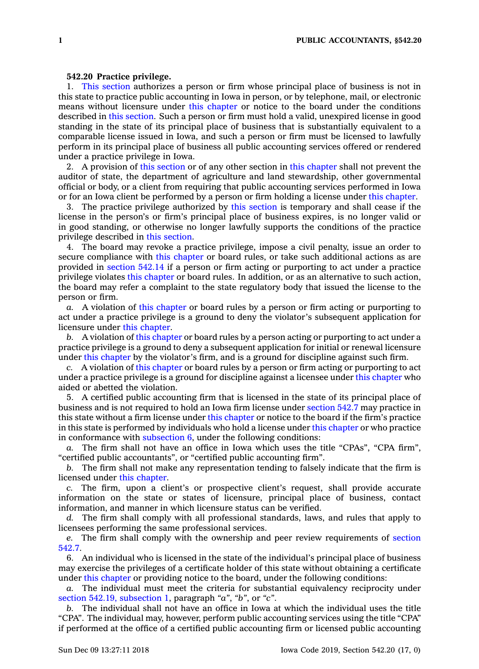## **542.20 Practice privilege.**

1. This [section](https://www.legis.iowa.gov/docs/code/542.20.pdf) authorizes <sup>a</sup> person or firm whose principal place of business is not in this state to practice public accounting in Iowa in person, or by telephone, mail, or electronic means without licensure under this [chapter](https://www.legis.iowa.gov/docs/code//542.pdf) or notice to the board under the conditions described in this [section](https://www.legis.iowa.gov/docs/code/542.20.pdf). Such <sup>a</sup> person or firm must hold <sup>a</sup> valid, unexpired license in good standing in the state of its principal place of business that is substantially equivalent to <sup>a</sup> comparable license issued in Iowa, and such <sup>a</sup> person or firm must be licensed to lawfully perform in its principal place of business all public accounting services offered or rendered under <sup>a</sup> practice privilege in Iowa.

2. A provision of this [section](https://www.legis.iowa.gov/docs/code/542.20.pdf) or of any other section in this [chapter](https://www.legis.iowa.gov/docs/code//542.pdf) shall not prevent the auditor of state, the department of agriculture and land stewardship, other governmental official or body, or <sup>a</sup> client from requiring that public accounting services performed in Iowa or for an Iowa client be performed by <sup>a</sup> person or firm holding <sup>a</sup> license under this [chapter](https://www.legis.iowa.gov/docs/code//542.pdf).

3. The practice privilege authorized by this [section](https://www.legis.iowa.gov/docs/code/542.20.pdf) is temporary and shall cease if the license in the person's or firm's principal place of business expires, is no longer valid or in good standing, or otherwise no longer lawfully supports the conditions of the practice privilege described in this [section](https://www.legis.iowa.gov/docs/code/542.20.pdf).

4. The board may revoke <sup>a</sup> practice privilege, impose <sup>a</sup> civil penalty, issue an order to secure compliance with this [chapter](https://www.legis.iowa.gov/docs/code//542.pdf) or board rules, or take such additional actions as are provided in [section](https://www.legis.iowa.gov/docs/code/542.14.pdf) 542.14 if <sup>a</sup> person or firm acting or purporting to act under <sup>a</sup> practice privilege violates this [chapter](https://www.legis.iowa.gov/docs/code//542.pdf) or board rules. In addition, or as an alternative to such action, the board may refer <sup>a</sup> complaint to the state regulatory body that issued the license to the person or firm.

*a.* A violation of this [chapter](https://www.legis.iowa.gov/docs/code//542.pdf) or board rules by <sup>a</sup> person or firm acting or purporting to act under <sup>a</sup> practice privilege is <sup>a</sup> ground to deny the violator's subsequent application for licensure under this [chapter](https://www.legis.iowa.gov/docs/code//542.pdf).

*b.* A violation of this [chapter](https://www.legis.iowa.gov/docs/code//542.pdf) or board rules by <sup>a</sup> person acting or purporting to act under <sup>a</sup> practice privilege is <sup>a</sup> ground to deny <sup>a</sup> subsequent application for initial or renewal licensure under this [chapter](https://www.legis.iowa.gov/docs/code//542.pdf) by the violator's firm, and is <sup>a</sup> ground for discipline against such firm.

*c.* A violation of this [chapter](https://www.legis.iowa.gov/docs/code//542.pdf) or board rules by <sup>a</sup> person or firm acting or purporting to act under <sup>a</sup> practice privilege is <sup>a</sup> ground for discipline against <sup>a</sup> licensee under this [chapter](https://www.legis.iowa.gov/docs/code//542.pdf) who aided or abetted the violation.

5. A certified public accounting firm that is licensed in the state of its principal place of business and is not required to hold an Iowa firm license under [section](https://www.legis.iowa.gov/docs/code/542.7.pdf) 542.7 may practice in this state without <sup>a</sup> firm license under this [chapter](https://www.legis.iowa.gov/docs/code//542.pdf) or notice to the board if the firm's practice in this state is performed by individuals who hold <sup>a</sup> license under this [chapter](https://www.legis.iowa.gov/docs/code//542.pdf) or who practice in conformance with [subsection](https://www.legis.iowa.gov/docs/code/542.20.pdf)  $6$ , under the following conditions:

*a.* The firm shall not have an office in Iowa which uses the title "CPAs", "CPA firm", "certified public accountants", or "certified public accounting firm".

*b.* The firm shall not make any representation tending to falsely indicate that the firm is licensed under this [chapter](https://www.legis.iowa.gov/docs/code//542.pdf).

*c.* The firm, upon <sup>a</sup> client's or prospective client's request, shall provide accurate information on the state or states of licensure, principal place of business, contact information, and manner in which licensure status can be verified.

*d.* The firm shall comply with all professional standards, laws, and rules that apply to licensees performing the same professional services.

*e.* The firm shall comply with the ownership and peer review requirements of [section](https://www.legis.iowa.gov/docs/code/542.7.pdf) [542.7](https://www.legis.iowa.gov/docs/code/542.7.pdf).

6. An individual who is licensed in the state of the individual's principal place of business may exercise the privileges of <sup>a</sup> certificate holder of this state without obtaining <sup>a</sup> certificate under this [chapter](https://www.legis.iowa.gov/docs/code//542.pdf) or providing notice to the board, under the following conditions:

*a.* The individual must meet the criteria for substantial equivalency reciprocity under section 542.19, [subsection](https://www.legis.iowa.gov/docs/code/542.19.pdf) 1, paragraph *"a"*, *"b"*, or *"c"*.

*b.* The individual shall not have an office in Iowa at which the individual uses the title "CPA". The individual may, however, perform public accounting services using the title "CPA" if performed at the office of <sup>a</sup> certified public accounting firm or licensed public accounting